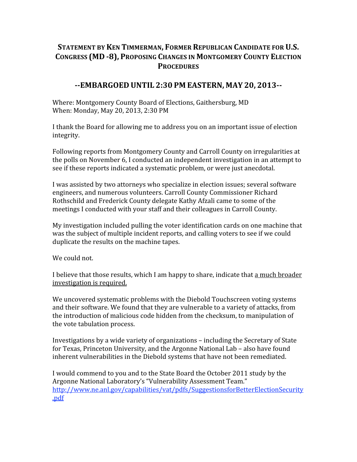## **STATEMENT BY KEN TIMMERMAN, FORMER REPUBLICAN CANDIDATE FOR U.S. CONGRESS (MD 8), PROPOSING CHANGES IN MONTGOMERY COUNTY ELECTION PROCEDURES**

## **EMBARGOED UNTIL 2:30 PM EASTERN, MAY 20, 2013**

Where: Montgomery County Board of Elections, Gaithersburg, MD When: Monday, May 20, 2013, 2:30 PM

I thank the Board for allowing me to address you on an important issue of election integrity.

Following reports from Montgomery County and Carroll County on irregularities at the polls on November 6, I conducted an independent investigation in an attempt to see if these reports indicated a systematic problem, or were just anecdotal.

I was assisted by two attorneys who specialize in election issues; several software engineers, and numerous volunteers. Carroll County Commissioner Richard Rothschild and Frederick County delegate Kathy Afzali came to some of the meetings I conducted with your staff and their colleagues in Carroll County.

My investigation included pulling the voter identification cards on one machine that was the subject of multiple incident reports, and calling voters to see if we could duplicate the results on the machine tapes.

We could not.

I believe that those results, which I am happy to share, indicate that a much broader investigation is required.

We uncovered systematic problems with the Diebold Touchscreen voting systems and their software. We found that they are vulnerable to a variety of attacks, from the introduction of malicious code hidden from the checksum, to manipulation of the vote tabulation process.

Investigations by a wide variety of organizations – including the Secretary of State for Texas, Princeton University, and the Argonne National Lab – also have found inherent vulnerabilities in the Diebold systems that have not been remediated.

I would commend to you and to the State Board the October 2011 study by the Argonne National Laboratory's "Vulnerability Assessment Team." http://www.ne.anl.gov/capabilities/vat/pdfs/SuggestionsforBetterElectionSecurity .pdf